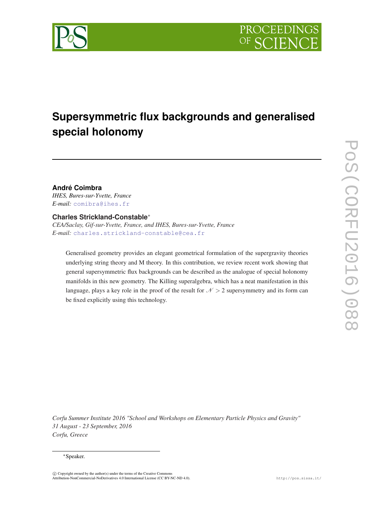

# **Supersymmetric flux backgrounds and generalised special holonomy**

**André Coimbra** *IHES, Bures-sur-Yvette, France E-mail:* [comibra@ihes.fr](mailto:comibra@ihes.fr)

## **Charles Strickland-Constable**<sup>∗</sup>

*CEA/Saclay, Gif-sur-Yvette, France, and IHES, Bures-sur-Yvette, France E-mail:* [charles.strickland-constable@cea.fr](mailto:charles.strickland-constable@cea.fr)

Generalised geometry provides an elegant geometrical formulation of the supergravity theories underlying string theory and M theory. In this contribution, we review recent work showing that general supersymmetric flux backgrounds can be described as the analogue of special holonomy manifolds in this new geometry. The Killing superalgebra, which has a neat manifestation in this language, plays a key role in the proof of the result for  $N > 2$  supersymmetry and its form can be fixed explicitly using this technology.

*Corfu Summer Institute 2016 "School and Workshops on Elementary Particle Physics and Gravity" 31 August - 23 September, 2016 Corfu, Greece*

#### <sup>∗</sup>Speaker.

 $\overline{c}$  Copyright owned by the author(s) under the terms of the Creative Common Attribution-NonCommercial-NoDerivatives 4.0 International License (CC BY-NC-ND 4.0). http://pos.sissa.it/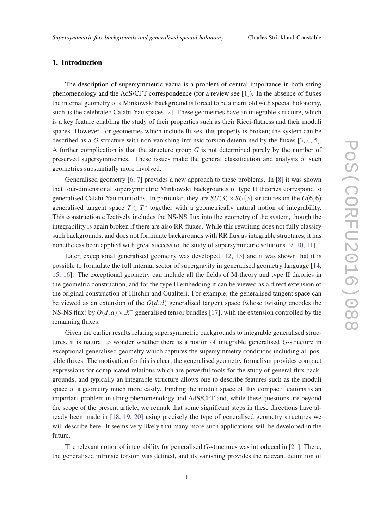### 1. Introduction

The description of supersymmetric vacua is a problem of central importance in both string phenomenology and the AdS/CFT correspondence (for a review see [\[1\]](#page-11-0)). In the absence of fluxes the internal geometry of a Minkowski background is forced to be a manifold with special holonomy, such as the celebrated Calabi-Yau spaces [[2](#page-11-0)]. These geometries have an integrable structure, which is a key feature enabling the study of their properties such as their Ricci-flatness and their moduli spaces. However, for geometries which include fluxes, this property is broken; the system can be described as a *G*-structure with non-vanishing intrinsic torsion determined by the fluxes [\[3,](#page-11-0) [4](#page-11-0), [5\]](#page-11-0). A further complication is that the structure group *G* is not determined purely by the number of preserved supersymmetries. These issues make the general classification and analysis of such geometries substantially more involved.

Generalised geometry [[6](#page-11-0), [7](#page-11-0)] provides a new approach to these problems. In [[8](#page-11-0)] it was shown that four-dimensional supersymmetric Minkowski backgrounds of type II theories correspond to generalised Calabi-Yau manifolds. In particular, they are  $SU(3) \times SU(3)$  structures on the  $O(6,6)$ generalised tangent space  $T \oplus T^*$  together with a geometrically natural notion of integrability. This construction effectively includes the NS-NS flux into the geometry of the system, though the integrability is again broken if there are also RR-fluxes. While this rewriting does not fully classify such backgrounds, and does not formulate backgrounds with RR flux as integrable structures, it has nonetheless been applied with great success to the study of supersymmetric solutions [[9](#page-11-0), [10,](#page-11-0) [11](#page-11-0)].

Later, exceptional generalised geometry was developed [\[12](#page-12-0), [13\]](#page-12-0) and it was shown that it is possible to formulate the full internal sector of supergravity in generalised geometry language [\[14](#page-12-0), [15](#page-12-0), [16](#page-12-0)]. The exceptional geometry can include all the fields of M-theory and type II theories in the geometric construction, and for the type II embedding it can be viewed as a direct extension of the original construction of Hitchin and Gualiteri. For example, the generalised tangent space can be viewed as an extension of the  $O(d,d)$  generalised tangent space (whose twisting encodes the NS-NS flux) by  $O(d, d) \times \mathbb{R}^+$  generalised tensor bundles [\[17](#page-12-0)], with the extension controlled by the remaining fluxes.

Given the earlier results relating supersymmetric backgrounds to integrable generalised structures, it is natural to wonder whether there is a notion of integrable generalised *G*-structure in exceptional generalised geometry which captures the supersymmetry conditions including all possible fluxes. The motivation for this is clear; the generalised geometry formalism provides compact expressions for complicated relations which are powerful tools for the study of general flux backgrounds, and typically an integrable structure allows one to describe features such as the moduli space of a geometry much more easily. Finding the moduli space of flux compactifications is an important problem in string phenomenology and AdS/CFT and, while these questions are beyond the scope of the present article, we remark that some significant steps in these directions have already been made in [[18,](#page-12-0) [19](#page-12-0), [20](#page-12-0)] using precisely the type of generalised geometry structures we will describe here. It seems very likely that many more such applications will be developed in the future.

The relevant notion of integrability for generalised *G*-structures was introduced in [\[21](#page-12-0)]. There, the generalised intrinsic torsion was defined, and its vanishing provides the relevant definition of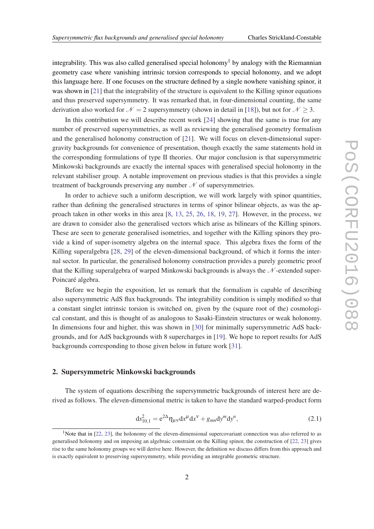<span id="page-2-0"></span>integrability. This was also called generalised special holonomy<sup>1</sup> by analogy with the Riemannian geometry case where vanishing intrinsic torsion corresponds to special holonomy, and we adopt this language here. If one focuses on the structure defined by a single nowhere vanishing spinor, it was shown in [[21\]](#page-12-0) that the integrability of the structure is equivalent to the Killing spinor equations and thus preserved supersymmetry. It was remarked that, in four-dimensional counting, the same derivation also worked for  $\mathcal{N} = 2$  supersymmetry (shown in detail in [\[18](#page-12-0)]), but not for  $\mathcal{N} \geq 3$ .

In this contribution we will describe recent work [\[24](#page-12-0)] showing that the same is true for any number of preserved supersymmetries, as well as reviewing the generalised geometry formalism and the generalised holonomy construction of [[21\]](#page-12-0). We will focus on eleven-dimensional supergravity backgrounds for convenience of presentation, though exactly the same statements hold in the corresponding formulations of type II theories. Our major conclusion is that supersymmetric Minkowski backgrounds are exactly the internal spaces with generalised special holonomy in the relevant stabiliser group. A notable improvement on previous studies is that this provides a single treatment of backgrounds preserving any number  $\mathcal N$  of supersymmetries.

In order to achieve such a uniform description, we will work largely with spinor quantities, rather than defining the generalised structures in terms of spinor bilinear objects, as was the approach taken in other works in this area [\[8,](#page-11-0) [13,](#page-12-0) [25,](#page-12-0) [26,](#page-12-0) [18,](#page-12-0) [19,](#page-12-0) [27\]](#page-12-0). However, in the process, we are drawn to consider also the generalised vectors which arise as bilinears of the Killing spinors. These are seen to generate generalised isometries, and together with the Killing spinors they provide a kind of super-isometry algebra on the internal space. This algebra fixes the form of the Killing superalgebra [\[28](#page-12-0), [29](#page-12-0)] of the eleven-dimensional background, of which it forms the internal sector. In particular, the generalised holonomy construction provides a purely geometric proof that the Killing superalgebra of warped Minkowski backgrounds is always the  $\mathcal N$ -extended super-Poincaré algebra.

Before we begin the exposition, let us remark that the formalism is capable of describing also supersymmetric AdS flux backgrounds. The integrability condition is simply modified so that a constant singlet intrinsic torsion is switched on, given by the (square root of the) cosmological constant, and this is thought of as analogous to Sasaki-Einstein structures or weak holonomy. In dimensions four and higher, this was shown in [[30\]](#page-12-0) for minimally supersymmetric AdS backgrounds, and for AdS backgrounds with 8 supercharges in [[19\]](#page-12-0). We hope to report results for AdS backgrounds corresponding to those given below in future work [\[31](#page-13-0)].

#### 2. Supersymmetric Minkowski backgrounds

The system of equations describing the supersymmetric backgrounds of interest here are derived as follows. The eleven-dimensional metric is taken to have the standard warped-product form

$$
ds_{10,1}^2 = e^{2\Delta} \eta_{\mu\nu} dx^{\mu} dx^{\nu} + g_{mn} dy^m dy^n,
$$
 (2.1)

<sup>&</sup>lt;sup>1</sup>Note that in [[22,](#page-12-0) [23\]](#page-12-0), the holonomy of the eleven-dimensional supercovariant connection was also referred to as generalised holonomy and on imposing an algebraic constraint on the Killing spinor, the construction of [\[22](#page-12-0), [23\]](#page-12-0) gives rise to the same holonomy groups we will derive here. However, the definition we discuss differs from this approach and is exactly equivalent to preserving supersymmetry, while providing an integrable geometric structure.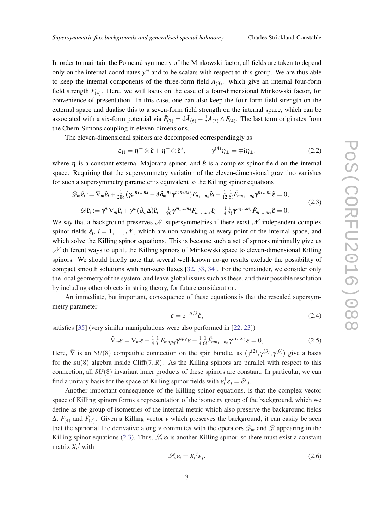<span id="page-3-0"></span>In order to maintain the Poincaré symmetry of the Minkowski factor, all fields are taken to depend only on the internal coordinates *y <sup>m</sup>* and to be scalars with respect to this group. We are thus able to keep the internal components of the three-form field  $A_{(3)}$ . which give an internal four-form field strength  $F_{(4)}$ . Here, we will focus on the case of a four-dimensional Minkowski factor, for convenience of presentation. In this case, one can also keep the four-form field strength on the external space and dualise this to a seven-form field strength on the internal space, which can be associated with a six-form potential via  $\tilde{F}_{(7)} = d\tilde{A}_{(6)} - \frac{1}{2}$  $\frac{1}{2}A_{(3)} \wedge F_{(4)}$ . The last term originates from the Chern-Simons coupling in eleven-dimensions.

The eleven-dimensional spinors are decomposed correspondingly as

$$
\varepsilon_{11} = \eta^+ \otimes \hat{\varepsilon} + \eta^- \otimes \hat{\varepsilon}^*, \qquad \gamma^{(4)} \eta_{\pm} = \mp i \eta_{\pm}, \qquad (2.2)
$$

where  $\eta$  is a constant external Majorana spinor, and  $\hat{\epsilon}$  is a complex spinor field on the internal space. Requiring that the supersymmetry variation of the eleven-dimensional gravitino vanishes for such a supersymmetry parameter is equivalent to the Killing spinor equations

$$
\mathcal{D}_{m}\hat{\epsilon}_{i} := \nabla_{m}\hat{\epsilon}_{i} + \frac{1}{288}(\gamma_{m}^{n_{1}...n_{4}} - 8\delta_{m}^{n_{1}}\gamma^{n_{2}n_{3}n_{4}})F_{n_{1}...n_{4}}\hat{\epsilon}_{i} - \frac{1}{12}\frac{1}{6!}\tilde{F}_{mn_{1}...n_{6}}\gamma^{n_{1}...n_{6}}\hat{\epsilon} = 0,
$$
\n
$$
\mathcal{D}\hat{\epsilon}_{i} := \gamma^{m}\nabla_{m}\hat{\epsilon}_{i} + \gamma^{m}(\partial_{m}\Delta)\hat{\epsilon}_{i} - \frac{1}{96}\gamma^{m_{1}...m_{4}}F_{m_{1}...m_{4}}\hat{\epsilon}_{i} - \frac{1}{4}\frac{1}{7!}\gamma^{m_{1}...m_{7}}\tilde{F}_{m_{1}...m_{7}}\hat{\epsilon} = 0.
$$
\n(2.3)

We say that a background preserves  $\mathcal N$  supersymmetries if there exist  $\mathcal N$  independent complex spinor fields  $\hat{\varepsilon}_i$ ,  $i = 1, \ldots, \mathcal{N}$ , which are non-vanishing at every point of the internal space, and which solve the Killing spinor equations. This is because such a set of spinors minimally give us  $\mathcal N$  different ways to uplift the Killing spinors of Minkowski space to eleven-dimensional Killing spinors. We should briefly note that several well-known no-go results exclude the possibility of compact smooth solutions with non-zero fluxes [[32,](#page-13-0) [33](#page-13-0), [34](#page-13-0)]. For the remainder, we consider only the local geometry of the system, and leave global issues such as these, and their possible resolution by including other objects in string theory, for future consideration.

An immediate, but important, consequence of these equations is that the rescaled supersymmetry parameter

$$
\varepsilon = e^{-\Delta/2}\hat{\varepsilon},\tag{2.4}
$$

satisfies [\[35](#page-13-0)] (very similar manipulations were also performed in [[22,](#page-12-0) [23](#page-12-0)])

$$
\tilde{\nabla}_m \varepsilon = \nabla_m \varepsilon - \frac{1}{4} \frac{1}{3!} F_{mnpq} \gamma^{npq} \varepsilon - \frac{1}{4} \frac{1}{6!} \tilde{F}_{mn_1...n_6} \gamma^{n_1...n_6} \varepsilon = 0, \qquad (2.5)
$$

Here,  $\tilde{\nabla}$  is an *SU*(8) compatible connection on the spin bundle, as  $(\gamma^{(2)}, \gamma^{(3)}, \gamma^{(6)})$  give a basis for the  $\mathfrak{su}(8)$  algebra inside Cliff(7, R). As the Killing spinors are parallel with respect to this connection, all *SU*(8) invariant inner products of these spinors are constant. In particular, we can find a unitary basis for the space of Killing spinor fields with  $\varepsilon_i^{\dagger} \varepsilon_j = \delta^i{}_j$ .

Another important consequence of the Killing spinor equations, is that the complex vector space of Killing spinors forms a representation of the isometry group of the background, which we define as the group of isometries of the internal metric which also preserve the background fields  $\Delta$ ,  $F_{(4)}$  and  $\tilde{F}_{(7)}$ . Given a Killing vector *v* which preserves the background, it can easily be seen that the spinorial Lie derivative along *v* commutes with the operators  $\mathscr{D}_m$  and  $\mathscr{D}$  appearing in the Killing spinor equations (2.3). Thus,  $\mathcal{L}_v \varepsilon_i$  is another Killing spinor, so there must exist a constant matrix  $X_i^j$  with

$$
\mathcal{L}_v \varepsilon_i = X_i^j \varepsilon_j. \tag{2.6}
$$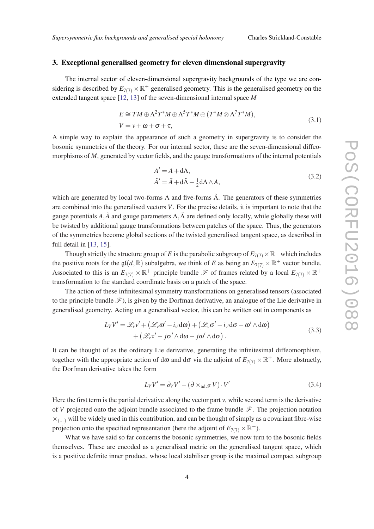#### <span id="page-4-0"></span>3. Exceptional generalised geometry for eleven dimensional supergravity

The internal sector of eleven-dimensional supergravity backgrounds of the type we are considering is described by  $E_{7(7)} \times \mathbb{R}^+$  generalised geometry. This is the generalised geometry on the extended tangent space [[12,](#page-12-0) [13\]](#page-12-0) of the seven-dimensional internal space *M*

$$
E \cong TM \oplus \Lambda^2 T^* M \oplus \Lambda^5 T^* M \oplus (T^* M \otimes \Lambda^7 T^* M),
$$
  
\n
$$
V = v + \omega + \sigma + \tau,
$$
\n(3.1)

A simple way to explain the appearance of such a geometry in supergravity is to consider the bosonic symmetries of the theory. For our internal sector, these are the seven-dimensional diffeomorphisms of *M*, generated by vector fields, and the gauge transformations of the internal potentials

$$
A' = A + d\Lambda,
$$
  
\n
$$
\tilde{A}' = \tilde{A} + d\tilde{\Lambda} - \frac{1}{2} d\Lambda \wedge A,
$$
\n(3.2)

which are generated by local two-forms  $\Lambda$  and five-forms  $\tilde{\Lambda}$ . The generators of these symmetries are combined into the generalised vectors *V*. For the precise details, it is important to note that the gauge potentials  $A, \tilde{A}$  and gauge parameters  $\Lambda, \tilde{\Lambda}$  are defined only locally, while globally these will be twisted by additional gauge transformations between patches of the space. Thus, the generators of the symmetries become global sections of the twisted generalised tangent space, as described in full detail in [\[13,](#page-12-0) [15](#page-12-0)].

Though strictly the structure group of *E* is the parabolic subgroup of  $E_{7(7)} \times \mathbb{R}^+$  which includes the positive roots for the  $\mathfrak{gl}(d,\mathbb{R})$  subalgebra, we think of *E* as being an  $E_{7(7)} \times \mathbb{R}^+$  vector bundle. Associated to this is an  $E_{7(7)} \times \mathbb{R}^+$  principle bundle  $\mathscr{F}$  of frames related by a local  $E_{7(7)} \times \mathbb{R}^+$ transformation to the standard coordinate basis on a patch of the space.

The action of these infinitesimal symmetry transformations on generalised tensors (associated to the principle bundle  $\mathcal{F}$ ), is given by the Dorfman derivative, an analogue of the Lie derivative in generalised geometry. Acting on a generalised vector, this can be written out in components as

$$
L_V V' = \mathcal{L}_v v' + (\mathcal{L}_v \omega' - i_v d\omega) + (\mathcal{L}_v \sigma' - i_v d\sigma - \omega' \wedge d\omega) + (\mathcal{L}_v \tau' - j \sigma' \wedge d\omega - j \omega' \wedge d\sigma).
$$
 (3.3)

It can be thought of as the ordinary Lie derivative, generating the infinitesimal diffeomorphism, together with the appropriate action of d $\omega$  and d $\sigma$  via the adjoint of  $E_{7(7)} \times \mathbb{R}^+$ . More abstractly, the Dorfman derivative takes the form

$$
L_V V' = \partial_V V' - (\partial \times_{\text{ad}} \mathcal{F} V) \cdot V'
$$
 (3.4)

Here the first term is the partial derivative along the vector part *v*, while second term is the derivative of *V* projected onto the adjoint bundle associated to the frame bundle  $\mathscr F$ . The projection notation  $\times_{(m)}$  will be widely used in this contribution, and can be thought of simply as a covariant fibre-wise projection onto the specified representation (here the adjoint of  $E_{7(7)} \times \mathbb{R}^+$ ).

What we have said so far concerns the bosonic symmetries, we now turn to the bosonic fields themselves. These are encoded as a generalised metric on the generalised tangent space, which is a positive definite inner product, whose local stabiliser group is the maximal compact subgroup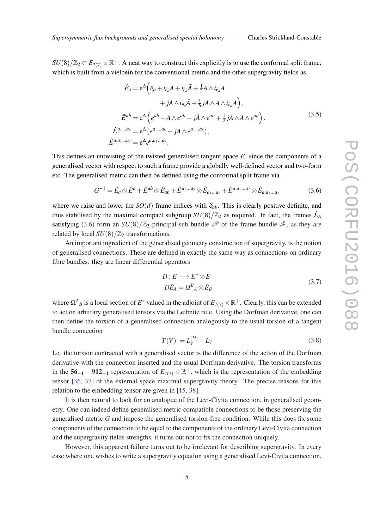<span id="page-5-0"></span> $SU(8)/\mathbb{Z}_2 \subset E_{7(7)} \times \mathbb{R}^+$ . A neat way to construct this explicitly is to use the conformal split frame, which is built from a vielbein for the conventional metric and the other supergravity fields as

$$
\hat{E}_a = e^{\Delta} \Big( \hat{e}_a + i_{\hat{e}_a} A + i_{\hat{e}_a} \tilde{A} + \frac{1}{2} A \wedge i_{\hat{e}_a} A \n+ jA \wedge i_{\hat{e}_a} \tilde{A} + \frac{1}{6} jA \wedge A \wedge i_{\hat{e}_a} A \Big),
$$
\n
$$
\hat{E}^{ab} = e^{\Delta} \Big( e^{ab} + A \wedge e^{ab} - j\tilde{A} \wedge e^{ab} + \frac{1}{2} jA \wedge A \wedge e^{ab} \Big),
$$
\n
$$
\hat{E}^{a_1 \dots a_5} = e^{\Delta} \big( e^{a_1 \dots a_5} + jA \wedge e^{a_1 \dots a_5} \big),
$$
\n
$$
\hat{E}^{a, a_1 \dots a_7} = e^{\Delta} e^{a, a_1 \dots a_7}.
$$
\n(3.5)

This defines an untwisting of the twisted generalised tangent space *E*, since the components of a generalised vector with respect to such a frame provide a globally well-defined vector and two-form etc. The generalised metric can then be defined using the conformal split frame via

$$
G^{-1} = \hat{E}_a \otimes \hat{E}^a + \hat{E}^{ab} \otimes \hat{E}_{ab} + \hat{E}^{a_1 \dots a_5} \otimes \hat{E}_{a_1 \dots a_5} + \hat{E}^{a, a_1 \dots a_7} \otimes \hat{E}_{a, a_1 \dots a_7}
$$
(3.6)

where we raise and lower the  $SO(d)$  frame indices with  $\delta_{ab}$ . This is clearly positive definite, and thus stabilised by the maximal compact subgroup  $SU(8)/\mathbb{Z}_2$  as required. In fact, the frames  $\hat{E}_A$ satisfying (3.6) form an  $SU(8)/\mathbb{Z}_2$  principal sub-bundle  $\mathscr P$  of the frame bundle  $\mathscr F$ , as they are related by local  $SU(8)/\mathbb{Z}_2$  transformations.

An important ingredient of the generalised geometry construction of supergravity, is the notion of generalised connections. These are defined in exactly the same way as connections on ordinary fibre bundles: they are linear differential operators

$$
D: E \longrightarrow E^* \otimes E
$$
  

$$
D\hat{E}_A = \Omega^B{}_A \otimes \hat{E}_B
$$
 (3.7)

where  $\Omega^A{}_B$  is a local section of  $E^*$  valued in the adjoint of  $E_{7(7)} \times \mathbb{R}^+$ . Clearly, this can be extended to act on arbitrary generalised tensors via the Leibnitz rule. Using the Dorfman derivative, one can then define the torsion of a generalised connection analogously to the usual torsion of a tangent bundle connection

$$
T(V) \cdot = L_V^{(D)} - L_V \tag{3.8}
$$

I.e. the torsion contracted with a generalised vector is the difference of the action of the Dorfman derivative with the connection inserted and the usual Dorfman derivative. The torsion transforms in the  $56<sub>-1</sub> + 912<sub>-1</sub>$  representation of  $E_{7(7)} \times \mathbb{R}^+$ , which is the representation of the embedding tensor [[36](#page-13-0), [37\]](#page-13-0) of the external space maximal supergravity theory. The precise reasons for this relation to the embedding tensor are given in [[15,](#page-12-0) [38\]](#page-13-0).

It is then natural to look for an analogue of the Levi-Civita connection, in generalised geometry. One can indeed define generalised metric compatible connections to be those preserving the generalised metric *G* and impose the generalised torsion-free condition. While this does fix some components of the connection to be equal to the components of the ordinary Levi-Civita connection and the supergravity fields strengths, it turns out not to fix the connection uniquely.

However, this apparent failure turns out to be irrelevant for describing supergravity. In every case where one wishes to write a supergravity equation using a generalised Levi-Civita connection,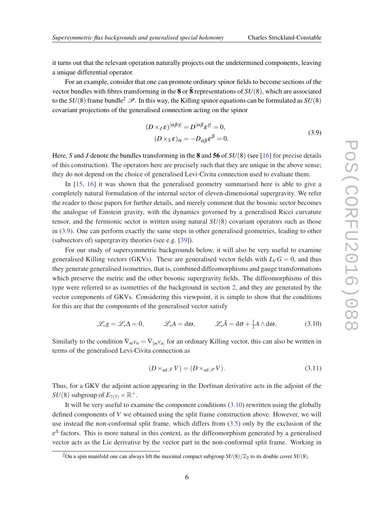<span id="page-6-0"></span>it turns out that the relevant operation naturally projects out the undetermined components, leaving a unique differential operator.

For an example, consider that one can promote ordinary spinor fields to become sections of the vector bundles with fibres transforming in the  $\bf{8}$  or  $\bar{\bf{8}}$  representations of  $SU(8)$ , which are associated to the  $SU(8)$  frame bundle<sup>2</sup>  $\mathscr{P}$ . In this way, the Killing spinor equations can be formulated as  $SU(8)$ covariant projections of the generalised connection acting on the spinor

$$
(D \times_J \varepsilon)^{[\alpha\beta\gamma]} = D^{[\alpha\beta}\varepsilon^{\gamma]} = 0,
$$
  
\n
$$
(D \times_S \varepsilon)_{\alpha} = -D_{\alpha\beta}\varepsilon^{\beta} = 0.
$$
\n(3.9)

Here, *S* and *J* denote the bundles transforming in the **8** and **56** of *SU*(8) (see [[16\]](#page-12-0) for precise details of this construction). The operators here are precisely such that they are unique in the above sense; they do not depend on the choice of generalised Levi-Civita connection used to evaluate them.

In [[15](#page-12-0), [16](#page-12-0)] it was shown that the generalised geometry summarised here is able to give a completely natural formulation of the internal sector of eleven-dimensional supergravity. We refer the reader to those papers for further details, and merely comment that the bosonic sector becomes the analogue of Einstein gravity, with the dynamics governed by a generalised Ricci curvature tensor, and the fermionic sector is written using natural *SU*(8) covariant operators such as those in (3.9). One can perform exactly the same steps in other generalised geometries, leading to other (subsectors of) supergravity theories (see e.g. [\[39](#page-13-0)]).

For our study of supersymmetric backgrounds below, it will also be very useful to examine generalised Killing vectors (GKVs). These are generalised vector fields with  $L_V G = 0$ , and thus they generate generalised isometries, that is, combined diffeomorphisms and gauge transformations which preserve the metric and the other bosonic supergravity fields. The diffeomorphisms of this type were referred to as isometries of the background in section [2](#page-2-0), and they are generated by the vector components of GKVs. Considering this viewpoint, it is simple to show that the conditions for this are that the components of the generalised vector satisfy

$$
\mathscr{L}_v g = \mathscr{L}_v \Delta = 0, \qquad \mathscr{L}_v A = d\omega, \qquad \mathscr{L}_v \tilde{A} = d\sigma + \frac{1}{2} A \wedge d\omega, \qquad (3.10)
$$

Similarly to the condition  $\nabla_m v_n = \nabla_{[m} v_{n]}$  for an ordinary Killing vector, this can also be written in terms of the generalised Levi-Civita connection as

$$
(D \times_{\text{ad}} \mathcal{F} V) = (D \times_{\text{ad}} \mathcal{P} V). \tag{3.11}
$$

Thus, for a GKV the adjoint action appearing in the Dorfman derivative acts in the adjoint of the *SU*(8) subgroup of  $E_{7(7)} \times \mathbb{R}^+$ .

It will be very useful to examine the component conditions (3.10) rewritten using the globally defined components of *V* we obtained using the split frame construction above. However, we will use instead the non-conformal split frame, which differs from ([3.5](#page-5-0)) only by the exclusion of the  $e^{\Delta}$  factors. This is more natural in this context, as the diffeomorphism generated by a generalised vector acts as the Lie derivative by the vector part in the non-conformal split frame. Working in

<sup>&</sup>lt;sup>2</sup>On a spin manifold one can always lift the maximal compact subgroup  $SU(8)/\mathbb{Z}_2$  to its double cover  $SU(8)$ .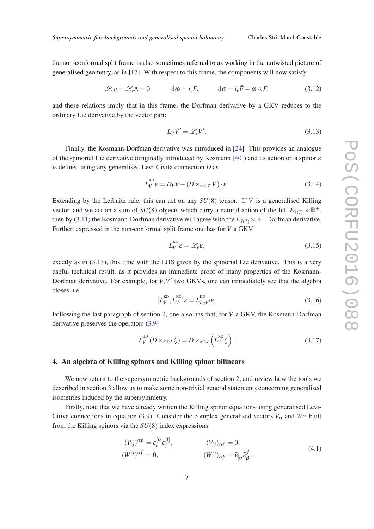<span id="page-7-0"></span>the non-conformal split frame is also sometimes referred to as working in the untwisted picture of generalised geometry, as in [\[17](#page-12-0)]. With respect to this frame, the components will now satisfy

$$
\mathcal{L}_v g = \mathcal{L}_v \Delta = 0, \qquad d\omega = i_v F, \qquad d\sigma = i_v \tilde{F} - \omega \wedge F, \qquad (3.12)
$$

and these relations imply that in this frame, the Dorfman derivative by a GKV reduces to the ordinary Lie derivative by the vector part:

$$
L_V V' = \mathcal{L}_v V'. \tag{3.13}
$$

Finally, the Kosmann-Dorfman derivative was introduced in [\[24](#page-12-0)]. This provides an analogue of the spinorial Lie derivative (originally introduced by Kosmann [[40\]](#page-13-0)) and its action on a spinor  $\varepsilon$ is defined using any generalised Levi-Civita connection *D* as

$$
L_V^{\text{KD}} \varepsilon = D_V \varepsilon - (D \times_{\text{ad}} \mathcal{P} V) \cdot \varepsilon. \tag{3.14}
$$

Extending by the Leibnitz rule, this can act on any *SU*(8) tensor. If *V* is a generalised Killing vector, and we act on a sum of  $SU(8)$  objects which carry a natural action of the full  $E_{7(7)} \times \mathbb{R}^+$ , then by [\(3.11](#page-6-0)) the Kosmann-Dorfman derivative will agree with the  $E_{7(7)} \times \mathbb{R}^+$  Dorfman derivative. Further, expressed in the non-conformal split frame one has for *V* a GKV

$$
L_V^{\text{KD}} \varepsilon = \mathscr{L}_v \varepsilon,\tag{3.15}
$$

exactly as in (3.13), this time with the LHS given by the spinorial Lie derivative. This is a very useful technical result, as it provides an immediate proof of many properties of the Kosmann-Dorfman derivative. For example, for  $V, V'$  two GKVs, one can immediately see that the algebra closes, i.e.

$$
[L_V^{\text{KD}}, L_{V'}^{\text{KD}}] \varepsilon = L_{L_V V'}^{\text{KD}} \varepsilon, \tag{3.16}
$$

Following the last paragraph of section [2,](#page-2-0) one also has that, for *V* a GKV, the Kosmann-Dorfman derivative preserves the operators [\(3.9](#page-6-0))

$$
L_V^{\text{KD}}\left(D \times_{S \oplus J} \zeta\right) = D \times_{S \oplus J} \left(L_V^{\text{KD}} \zeta\right). \tag{3.17}
$$

### 4. An algebra of Killing spinors and Killing spinor bilinears

We now return to the supersymmetric backgrounds of section [2](#page-2-0), and review how the tools we described in section [3](#page-4-0) allow us to make some non-trivial general statements concerning generalised isometries induced by the supersymmetry.

Firstly, note that we have already written the Killing spinor equations using generalised Levi-Citiva connections in equation ([3.9](#page-6-0)). Consider the complex generalised vectors  $V_{ij}$  and  $W^{ij}$  built from the Killing spinors via the *SU*(8) index expressions

$$
(V_{ij})^{\alpha\beta} = \varepsilon_i^{[\alpha} \varepsilon_j^{\beta]}, \qquad (V_{ij})_{\alpha\beta} = 0,
$$
  
\n
$$
(W^{ij})^{\alpha\beta} = 0, \qquad (W^{ij})_{\alpha\beta} = \bar{\varepsilon}_{[\alpha}^i \bar{\varepsilon}_{\beta]}^j.
$$
\n(4.1)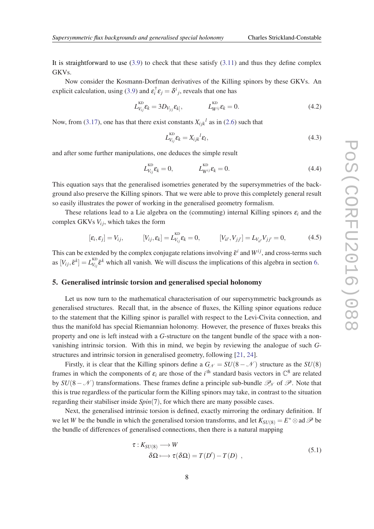<span id="page-8-0"></span>It is straightforward to use  $(3.9)$  $(3.9)$  $(3.9)$  to check that these satisfy  $(3.11)$  $(3.11)$  and thus they define complex GKVs.

Now consider the Kosmann-Dorfman derivatives of the Killing spinors by these GKVs. An explicit calculation, using ([3.9\)](#page-6-0) and  $\varepsilon_i^{\dagger} \varepsilon_j = \delta^i{}_j$ , reveals that one has

$$
L_{V_{ij}}^{KD}\varepsilon_k = 3D_{V_{[ij}}\varepsilon_{k]}, \qquad L_{W^{ij}}^{KD}\varepsilon_k = 0.
$$
\n(4.2)

Now, from ([3.17\)](#page-7-0), one has that there exist constants  $X_{ijk}$ <sup>l</sup> as in ([2.6](#page-3-0)) such that

$$
L_{V_{ij}}^{\text{KD}} \varepsilon_k = X_{ijk}{}^l \varepsilon_l, \tag{4.3}
$$

and after some further manipulations, one deduces the simple result

$$
L_{V_{ij}}^{KD}\varepsilon_k = 0, \qquad L_{W^{ij}}^{KD}\varepsilon_k = 0. \qquad (4.4)
$$

This equation says that the generalised isometries generated by the supersymmetries of the background also preserve the Killing spinors. That we were able to prove this completely general result so easily illustrates the power of working in the generalised geometry formalism.

These relations lead to a Lie algebra on the (commuting) internal Killing spinors ε*<sup>i</sup>* and the complex GKVs  $V_{ij}$ , which takes the form

$$
[\varepsilon_i, \varepsilon_j] = V_{ij}, \qquad [V_{ij}, \varepsilon_k] = L_{V_{ij}}^{\text{KD}} \varepsilon_k = 0, \qquad [V_{ii'}, V_{jj'}] = L_{V_{ii'}} V_{jj'} = 0,\tag{4.5}
$$

This can be extended by the complex conjugate relations involving  $\bar{\varepsilon}^i$  and  $W^{ij}$ , and cross-terms such  $[\mathbf{V}_{ij}, \bar{\mathbf{\varepsilon}}^k] = L_{V_{ij}}^{\text{KD}}$  $V_{V_{ij}}\bar{\epsilon}^k$  which all vanish. We will discuss the implications of this algebra in section [6](#page-10-0).

#### 5. Generalised intrinsic torsion and generalised special holonomy

Let us now turn to the mathematical characterisation of our supersymmetric backgrounds as generalised structures. Recall that, in the absence of fluxes, the Killing spinor equations reduce to the statement that the Killing spinor is parallel with respect to the Levi-Civita connection, and thus the manifold has special Riemannian holonomy. However, the presence of fluxes breaks this property and one is left instead with a *G*-structure on the tangent bundle of the space with a nonvanishing intrinsic torsion. With this in mind, we begin by reviewing the analogue of such *G*structures and intrinsic torsion in generalised geometry, following [[21](#page-12-0), [24\]](#page-12-0).

Firstly, it is clear that the Killing spinors define a  $G_N = SU(8 - N)$  structure as the  $SU(8)$ frames in which the components of  $\varepsilon_i$  are those of the *i*<sup>th</sup> standard basis vectors in  $\mathbb{C}^8$  are related by  $SU(8-\mathcal{N})$  transformations. These frames define a principle sub-bundle  $\mathscr{P}_N$  of  $\mathscr{P}$ . Note that this is true regardless of the particular form the Killing spinors may take, in contrast to the situation regarding their stabiliser inside *Spin*(7), for which there are many possible cases.

Next, the generalised intrinsic torsion is defined, exactly mirroring the ordinary definition. If we let *W* be the bundle in which the generalised torsion transforms, and let  $K_{SU(8)} = E^* \otimes \text{ad } \mathscr{P}$  be the bundle of differences of generalised connections, then there is a natural mapping

$$
\tau: K_{SU(8)} \longrightarrow W
$$
  
\n
$$
\delta\Omega \longmapsto \tau(\delta\Omega) = T(D') - T(D) ,
$$
\n(5.1)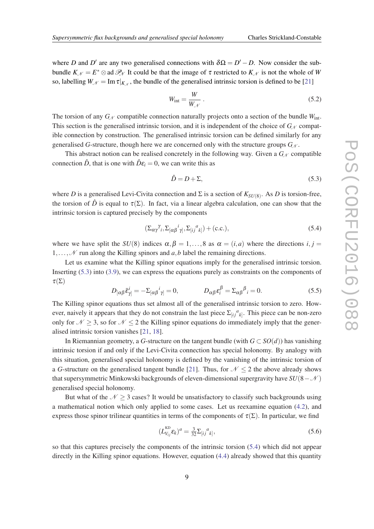where *D* and *D'* are any two generalised connections with  $\delta\Omega = D' - D$ . Now consider the subbundle  $K_N = E^* \otimes$  ad  $\mathcal{P}_N$  It could be that the image of  $\tau$  restricted to  $K_N$  is not the whole of *W* so, labelling  $W_{\mathcal{N}} = \text{Im} \tau|_{K_{\mathcal{N}}}$ , the bundle of the generalised intrinsic torsion is defined to be [\[21\]](#page-12-0)

$$
W_{\text{int}} = \frac{W}{W_{\mathcal{N}}} \,. \tag{5.2}
$$

The torsion of any  $G_N$  compatible connection naturally projects onto a section of the bundle  $W_{int}$ . This section is the generalised intrinsic torsion, and it is independent of the choice of  $G_N$  compatible connection by construction. The generalised intrinsic torsion can be defined similarly for any generalised *G*-structure, though here we are concerned only with the structure groups  $G_N$ .

This abstract notion can be realised concretely in the following way. Given a  $G_N$  compatible connection  $\hat{D}$ , that is one with  $\hat{D}\varepsilon_i = 0$ , we can write this as

$$
\hat{D} = D + \Sigma,\tag{5.3}
$$

where *D* is a generalised Levi-Civita connection and  $\Sigma$  is a section of  $K_{SU(8)}$ . As *D* is torsion-free, the torsion of  $\hat{D}$  is equal to  $\tau(\Sigma)$ . In fact, via a linear algebra calculation, one can show that the intrinsic torsion is captured precisely by the components

$$
(\Sigma_{\alpha\gamma}^{\gamma} \gamma_{i}, \Sigma_{[\alpha\beta}^{\qquad i} \gamma_{j}, \Sigma_{[ij}^{\qquad a} \gamma_{k}]) + (\text{c.c.}), \tag{5.4}
$$

where we have split the *SU*(8) indices  $\alpha, \beta = 1, \ldots, 8$  as  $\alpha = (i, a)$  where the directions  $i, j =$ 1,...,  $\mathcal N$  run along the Killing spinors and *a*, *b* label the remaining directions.

Let us examine what the Killing spinor equations imply for the generalised intrinsic torsion. Inserting (5.3) into [\(3.9\)](#page-6-0), we can express the equations purely as constraints on the components of  $\tau(\Sigma)$ 

$$
D_{\left[\alpha\beta\right]} \bar{\varepsilon}_{\gamma\prime}^i = -\Sigma_{\left[\alpha\beta\right]}^i{}_{\gamma\prime} = 0, \qquad D_{\alpha\beta} \varepsilon_i^\beta = \Sigma_{\alpha\beta}^{\beta} = 0. \tag{5.5}
$$

The Killing spinor equations thus set almost all of the generalised intrinsic torsion to zero. However, naively it appears that they do not constrain the last piece  $\sum_{[ij]} a_{k]}$ . This piece can be non-zero only for  $\mathcal{N} \geq 3$ , so for  $\mathcal{N} \leq 2$  the Killing spinor equations do immediately imply that the generalised intrinsic torsion vanishes [[21,](#page-12-0) [18\]](#page-12-0).

In Riemannian geometry, a *G*-structure on the tangent bundle (with *G* ⊂ *SO*(*d*)) has vanishing intrinsic torsion if and only if the Levi-Civita connection has special holonomy. By analogy with this situation, generalised special holonomy is defined by the vanishing of the intrinsic torsion of a *G*-structure on the generalised tangent bundle [[21](#page-12-0)]. Thus, for  $N < 2$  the above already shows that supersymmetric Minkowski backgrounds of eleven-dimensional supergravity have  $SU(8-\mathcal{N})$ generalised special holonomy.

But what of the  $N \geq 3$  cases? It would be unsatisfactory to classify such backgrounds using a mathematical notion which only applied to some cases. Let us reexamine equation [\(4.2\)](#page-8-0), and express those spinor trilinear quantities in terms of the components of  $\tau(\Sigma)$ . In particular, we find

$$
(L_{V_{ij}}^{KD}\varepsilon_k)^a = \frac{3}{32} \Sigma_{[ij}^a{}_{k]},\tag{5.6}
$$

so that this captures precisely the components of the intrinsic torsion (5.4) which did not appear directly in the Killing spinor equations. However, equation [\(4.4](#page-8-0)) already showed that this quantity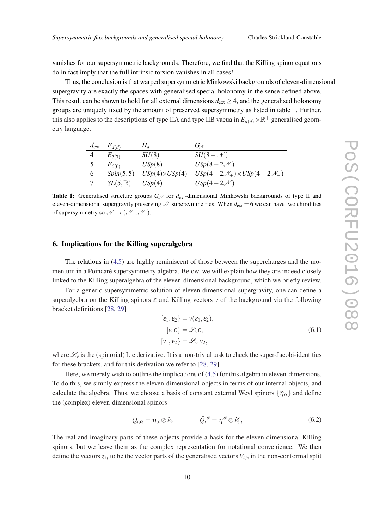<span id="page-10-0"></span>vanishes for our supersymmetric backgrounds. Therefore, we find that the Killing spinor equations do in fact imply that the full intrinsic torsion vanishes in all cases!

Thus, the conclusion is that warped supersymmetric Minkowski backgrounds of eleven-dimensional supergravity are exactly the spaces with generalised special holonomy in the sense defined above. This result can be shown to hold for all external dimensions  $d_{ext} \geq 4$ , and the generalised holonomy groups are uniquely fixed by the amount of preserved supersymmetry as listed in table 1. Further, this also applies to the descriptions of type IIA and type IIB vacua in  $E_{d(d)} \times \mathbb{R}^+$  generalised geometry language.

|               | $d_{\text{ext}}$ $E_{d(d)}$ | $H_d$                 | $G_V$                                                |
|---------------|-----------------------------|-----------------------|------------------------------------------------------|
| 4             | $E_{7(7)}$                  | SU(8)                 | $SU(8-\mathcal{N})$                                  |
| $\mathcal{L}$ | $E_{6(6)}$                  | USp(8)                | $USp(8-2\mathcal{N})$                                |
| 6             | Spin(5,5)                   | $USp(4)\times USp(4)$ | $USp(4-2\mathcal{N}_+) \times USp(4-2\mathcal{N}_-)$ |
|               | $SL(5,\mathbb{R})$          | USp(4)                | $USp(4-2\mathcal{N})$                                |

**Table 1:** Generalised structure groups  $G_N$  for  $d_{ext}$ -dimensional Minkowski backgrounds of type II and eleven-dimensional supergravity preserving  $N$  supersymmetries. When  $d_{ext} = 6$  we can have two chiralities of supersymmetry so  $\mathcal{N} \rightarrow (\mathcal{N}_+, \mathcal{N}_-)$ .

#### 6. Implications for the Killing superalgebra

The relations in [\(4.5](#page-8-0)) are highly reminiscent of those between the supercharges and the momentum in a Poincaré supersymmetry algebra. Below, we will explain how they are indeed closely linked to the Killing superalgebra of the eleven-dimensional background, which we briefly review.

For a generic supersymmetric solution of eleven-dimensional supergravity, one can define a superalgebra on the Killing spinors  $\varepsilon$  and Killing vectors  $v$  of the background via the following bracket definitions [\[28](#page-12-0), [29\]](#page-12-0)

$$
[\varepsilon_1, \varepsilon_2] = v(\varepsilon_1, \varepsilon_2),
$$
  
\n
$$
[v, \varepsilon] = \mathcal{L}_v \varepsilon,
$$
  
\n
$$
[v_1, v_2] = \mathcal{L}_{v_1} v_2,
$$
\n(6.1)

where  $\mathcal{L}_v$  is the (spinorial) Lie derivative. It is a non-trivial task to check the super-Jacobi-identities for these brackets, and for this derivation we refer to [\[28,](#page-12-0) [29](#page-12-0)].

Here, we merely wish to outline the implications of  $(4.5)$  for this algebra in eleven-dimensions. To do this, we simply express the eleven-dimensional objects in terms of our internal objects, and calculate the algebra. Thus, we choose a basis of constant external Weyl spinors  $\{\eta_{\alpha}\}\$  and define the (complex) eleven-dimensional spinors

$$
Q_{i,\alpha} = \eta_{\alpha} \otimes \hat{\mathbf{\varepsilon}}_i, \qquad \qquad \bar{Q}_i^{\dot{\alpha}} = \bar{\eta}^{\dot{\alpha}} \otimes \hat{\mathbf{\varepsilon}}_i^c, \qquad (6.2)
$$

The real and imaginary parts of these objects provide a basis for the eleven-dimensional Killing spinors, but we leave them as the complex representation for notational convenience. We then define the vectors  $z_{ij}$  to be the vector parts of the generalised vectors  $V_{ij}$ , in the non-conformal split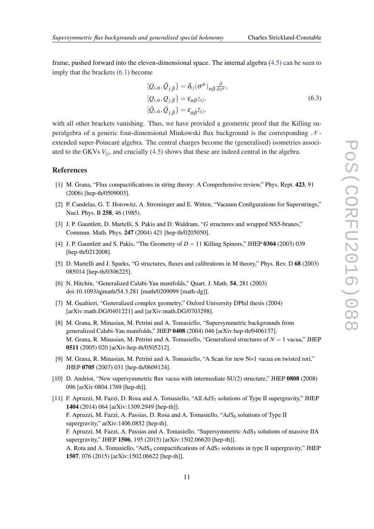<span id="page-11-0"></span>frame, pushed forward into the eleven-dimensional space. The internal algebra [\(4.5\)](#page-8-0) can be seen to imply that the brackets [\(6.1\)](#page-10-0) become

$$
[Q_{i,\alpha}, \bar{Q}_{j,\dot{\beta}}] = \delta_{ij} (\sigma^{\mu})_{\alpha\dot{\beta}} \frac{\partial}{\partial x^{\mu}},
$$
  
\n
$$
[Q_{i,\alpha}, Q_{j,\beta}] = \epsilon_{\alpha\beta} z_{ij},
$$
  
\n
$$
[\bar{Q}_{i,\alpha}, \bar{Q}_{j,\dot{\beta}}] = \epsilon_{\alpha\dot{\beta}} \bar{z}_{ij},
$$
\n(6.3)

with all other brackets vanishing. Thus, we have provided a geometric proof that the Killing superalgebra of a generic four-dimensional Minkowski flux background is the corresponding  $N$ extended super-Poincaré algebra. The central charges become the (generalised) isometries associated to the GKVs  $V_i$ , and crucially [\(4.5](#page-8-0)) shows that these are indeed central in the algebra.

#### References

- [1] M. Grana, "Flux compactifications in string theory: A Comprehensive review," Phys. Rept. 423, 91 (2006) [hep-th/0509003].
- [2] P. Candelas, G. T. Horowitz, A. Strominger and E. Witten, "Vacuum Configurations for Superstrings," Nucl. Phys. B 258, 46 (1985).
- [3] J. P. Gauntlett, D. Martelli, S. Pakis and D. Waldram, "*G* structures and wrapped NS5-branes," Commun. Math. Phys. 247 (2004) 421 [hep-th/0205050].
- [4] J. P. Gauntlett and S. Pakis, "The Geometry of  $D = 11$  Killing Spinors," JHEP 0304 (2003) 039 [hep-th/0212008].
- [5] D. Martelli and J. Sparks, "G structures, fluxes and calibrations in M theory," Phys. Rev. D 68 (2003) 085014 [hep-th/0306225].
- [6] N. Hitchin, "Generalized Calabi-Yau manifolds," Quart. J. Math. 54, 281 (2003) doi:10.1093/qjmath/54.3.281 [math/0209099 [math-dg]].
- [7] M. Gualtieri, "Generalized complex geometry," Oxford University DPhil thesis (2004) [arXiv:math.DG/0401221] and [arXiv:math.DG/0703298].
- [8] M. Grana, R. Minasian, M. Petrini and A. Tomasiello, "Supersymmetric backgrounds from generalized Calabi-Yau manifolds," JHEP 0408 (2004) 046 [arXiv:hep-th/0406137]. M. Grana, R. Minasian, M. Petrini and A. Tomasiello, "Generalized structures of *N* = 1 vacua," JHEP 0511 (2005) 020 [arXiv:hep-th/0505212].
- [9] M. Grana, R. Minasian, M. Petrini and A. Tomasiello, "A Scan for new N=1 vacua on twisted tori," JHEP 0705 (2007) 031 [hep-th/0609124].
- [10] D. Andriot, "New supersymmetric flux vacua with intermediate SU(2) structure," JHEP 0808 (2008) 096 [arXiv:0804.1769 [hep-th]].
- [11] F. Apruzzi, M. Fazzi, D. Rosa and A. Tomasiello, "All *AdS*<sup>7</sup> solutions of Type II supergravity," JHEP 1404 (2014) 064 [arXiv:1309.2949 [hep-th]]. F. Apruzzi, M. Fazzi, A. Passias, D. Rosa and A. Tomasiello, "*AdS*<sup>6</sup> solutions of Type II supergravity," arXiv:1406.0852 [hep-th]. F. Apruzzi, M. Fazzi, A. Passias and A. Tomasiello, "Supersymmetric  $AdS_5$  solutions of massive IIA supergravity," JHEP 1506, 195 (2015) [arXiv:1502.06620 [hep-th]]. A. Rota and A. Tomasiello, "AdS<sub>4</sub> compactifications of AdS<sub>7</sub> solutions in type II supergravity," JHEP 1507, 076 (2015) [arXiv:1502.06622 [hep-th]].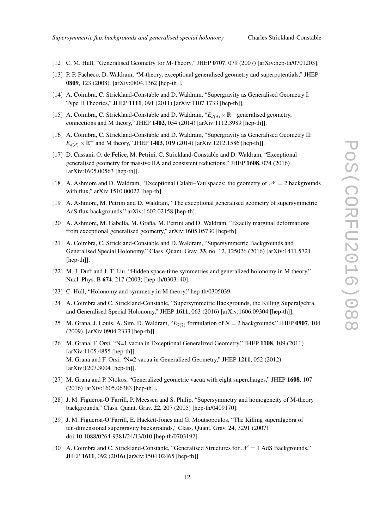- <span id="page-12-0"></span>[12] C. M. Hull, "Generalised Geometry for M-Theory," JHEP 0707, 079 (2007) [arXiv:hep-th/0701203].
- [13] P. P. Pacheco, D. Waldram, "M-theory, exceptional generalised geometry and superpotentials," JHEP 0809, 123 (2008). [arXiv:0804.1362 [hep-th]].
- [14] A. Coimbra, C. Strickland-Constable and D. Waldram, "Supergravity as Generalised Geometry I: Type II Theories," JHEP 1111, 091 (2011) [arXiv:1107.1733 [hep-th]].
- [15] A. Coimbra, C. Strickland-Constable and D. Waldram,  $E_{d(d)} \times \mathbb{R}^+$  generalised geometry, connections and M theory," JHEP 1402, 054 (2014) [arXiv:1112.3989 [hep-th]].
- [16] A. Coimbra, C. Strickland-Constable and D. Waldram, "Supergravity as Generalised Geometry II:  $E_{d(d)} \times \mathbb{R}^+$  and M theory," JHEP 1403, 019 (2014) [arXiv:1212.1586 [hep-th]].
- [17] D. Cassani, O. de Felice, M. Petrini, C. Strickland-Constable and D. Waldram, "Exceptional generalised geometry for massive IIA and consistent reductions," JHEP 1608, 074 (2016) [arXiv:1605.00563 [hep-th]].
- [18] A. Ashmore and D. Waldram, "Exceptional Calabi–Yau spaces: the geometry of  $\mathcal{N} = 2$  backgrounds with flux," arXiv:1510.00022 [hep-th].
- [19] A. Ashmore, M. Petrini and D. Waldram, "The exceptional generalised geometry of supersymmetric AdS flux backgrounds," arXiv:1602.02158 [hep-th].
- [20] A. Ashmore, M. Gabella, M. Graña, M. Petrini and D. Waldram, "Exactly marginal deformations from exceptional generalised geometry," arXiv:1605.05730 [hep-th].
- [21] A. Coimbra, C. Strickland-Constable and D. Waldram, "Supersymmetric Backgrounds and Generalised Special Holonomy," Class. Quant. Grav. 33, no. 12, 125026 (2016) [arXiv:1411.5721 [hep-th]].
- [22] M. J. Duff and J. T. Liu, "Hidden space-time symmetries and generalized holonomy in M theory," Nucl. Phys. B 674, 217 (2003) [hep-th/0303140].
- [23] C. Hull, "Holonomy and symmetry in M theory," hep-th/0305039.
- [24] A. Coimbra and C. Strickland-Constable, "Supersymmetric Backgrounds, the Killing Superalgebra, and Generalised Special Holonomy," JHEP 1611, 063 (2016) [arXiv:1606.09304 [hep-th]].
- [25] M. Grana, J. Louis, A. Sim, D. Waldram,  $E_{7(7)}$  formulation of  $N = 2$  backgrounds," JHEP 0907, 104 (2009). [arXiv:0904.2333 [hep-th]].
- [26] M. Grana, F. Orsi, "N=1 vacua in Exceptional Generalized Geometry," JHEP 1108, 109 (2011) [arXiv:1105.4855 [hep-th]]. M. Grana and F. Orsi, "N=2 vacua in Generalized Geometry," JHEP 1211, 052 (2012) [arXiv:1207.3004 [hep-th]].
- [27] M. Graña and P. Ntokos, "Generalized geometric vacua with eight supercharges," JHEP 1608, 107 (2016) [arXiv:1605.06383 [hep-th]].
- [28] J. M. Figueroa-O'Farrill, P. Meessen and S. Philip, "Supersymmetry and homogeneity of M-theory backgrounds," Class. Quant. Grav. 22, 207 (2005) [hep-th/0409170].
- [29] J. M. Figueroa-O'Farrill, E. Hackett-Jones and G. Moutsopoulos, "The Killing superalgebra of ten-dimensional supergravity backgrounds," Class. Quant. Grav. 24, 3291 (2007) doi:10.1088/0264-9381/24/13/010 [hep-th/0703192].
- [30] A. Coimbra and C. Strickland-Constable, "Generalised Structures for  $\mathcal{N} = 1$  AdS Backgrounds," JHEP 1611, 092 (2016) [arXiv:1504.02465 [hep-th]].